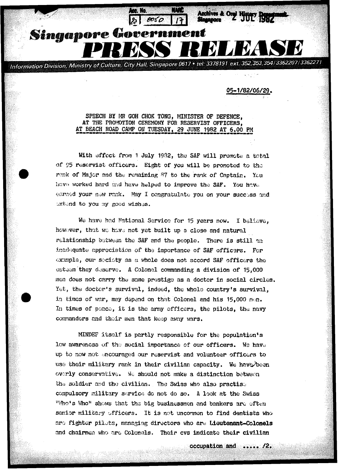Information Division, Ministry of Culture, City Hall, Singapore 0617 • tel: 3378191 ext. 352,353,354/3362207/3362271

Singapore Governm

05-1/82/06/29。

Archives & Oryl History

SPEECH BY MR GOH CHOK TONG, MINISTER OF DEFENCE, AT THE PROMOTION CEREMONY FOR RESERVIST OFFICERS, AT BEACH ROAD CAMP ON TUESDAY, 29 JUNE 1982 AT 6.00 PM

With effect from 1 July 1982, the SAF will promote a total of 95 reservist officers. Eight of you will be promoted to the rank of Major and the remaining 87 to the rank of Captain. You have worked hard and have helped to improve the SAF. You have earned your new rank. May I congratulate you on your success and extend to you my good wishes.

We have had National Service for 15 years now. I believe. however, that we have not yet built up a close and natural relationship between the SAF and the people. There is still an inadequate appreciation of the importance of SAF officers. For example, our society as a whole does not accord SAF officers the esteem they deserve. A Colonel commanding a division of 15,000 men does not carry the same prestige as a doctor in social circles. Yet, the doctor's survival, indeed, the whole country's survival, in times of war, may depend on that Colonel and his 15,000 men. In times of peace, it is the army officers, the pilots, the navy commanders and their men that keep away wars.

MINDEF itself is partly responsible for the population's low awareness of the social importance of our officers. We have up to now not encouraged our reservist and volunteer officers to use their military rank in their civilian capacity. We have been overly conservative. We should not make a distinction between the soldier and the civilian. The Swiss who also practise compulsory military service do not do so. A look at the Swiss "Who's Who' shows that the big businessmen and bankers are often senior military officers. It is not uncommon to find dentists who are fighter pilots, managing directors who are Lieutenant-Colonels and chairmen who are Colonels. Their cvs indicate their civilian

occupation and ..... /2.